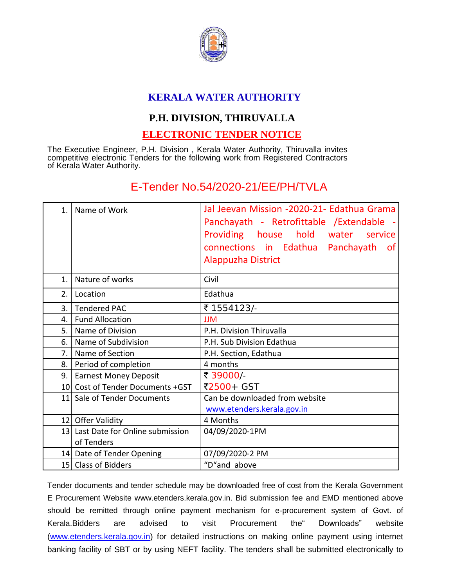

## **KERALA WATER AUTHORITY**

## **P.H. DIVISION, THIRUVALLA**

## **ELECTRONIC TENDER NOTICE**

The Executive Engineer, P.H. Division , Kerala Water Authority, Thiruvalla invites competitive electronic Tenders for the following work from Registered Contractors of Kerala Water Authority.

## E-Tender No.54/2020-21/EE/PH/TVLA

| 1.             | Name of Work                                     | Jal Jeevan Mission -2020-21- Edathua Grama<br>Panchayath - Retrofittable / Extendable -<br>Providing house hold water service<br>connections in Edathua Panchayath<br><u>of</u><br><b>Alappuzha District</b> |
|----------------|--------------------------------------------------|--------------------------------------------------------------------------------------------------------------------------------------------------------------------------------------------------------------|
| $\mathbf{1}$ . | Nature of works                                  | Civil                                                                                                                                                                                                        |
| 2.             | Location                                         | Edathua                                                                                                                                                                                                      |
| 3.1            | <b>Tendered PAC</b>                              | ₹ 1554123/-                                                                                                                                                                                                  |
| 4.             | <b>Fund Allocation</b>                           | <b>JJM</b>                                                                                                                                                                                                   |
|                | 5. Name of Division                              | P.H. Division Thiruvalla                                                                                                                                                                                     |
| 6.             | Name of Subdivision                              | P.H. Sub Division Edathua                                                                                                                                                                                    |
| 7.1            | Name of Section                                  | P.H. Section, Edathua                                                                                                                                                                                        |
| 8.1            | Period of completion                             | 4 months                                                                                                                                                                                                     |
| 9.1            | <b>Earnest Money Deposit</b>                     | ₹ 39000/-                                                                                                                                                                                                    |
|                | 10 Cost of Tender Documents +GST                 | ₹2500+ GST                                                                                                                                                                                                   |
|                | 11 Sale of Tender Documents                      | Can be downloaded from website<br>www.etenders.kerala.gov.in                                                                                                                                                 |
|                | 12 Offer Validity                                | 4 Months                                                                                                                                                                                                     |
|                | 13 Last Date for Online submission<br>of Tenders | 04/09/2020-1PM                                                                                                                                                                                               |
|                | 14 Date of Tender Opening                        | 07/09/2020-2 PM                                                                                                                                                                                              |
|                | 15 Class of Bidders                              | "D"and above                                                                                                                                                                                                 |

Tender documents and tender schedule may be downloaded free of cost from the Kerala Government E Procurement Website www.etenders.kerala.gov.in. Bid submission fee and EMD mentioned above should be remitted through online payment mechanism for e-procurement system of Govt. of Kerala.Bidders are advised to visit Procurement the" Downloads" website [\(www.etenders.kerala.gov.in\)](http://www.etenders.kerala.gov.in/) for detailed instructions on making online payment using internet banking facility of SBT or by using NEFT facility. The tenders shall be submitted electronically to